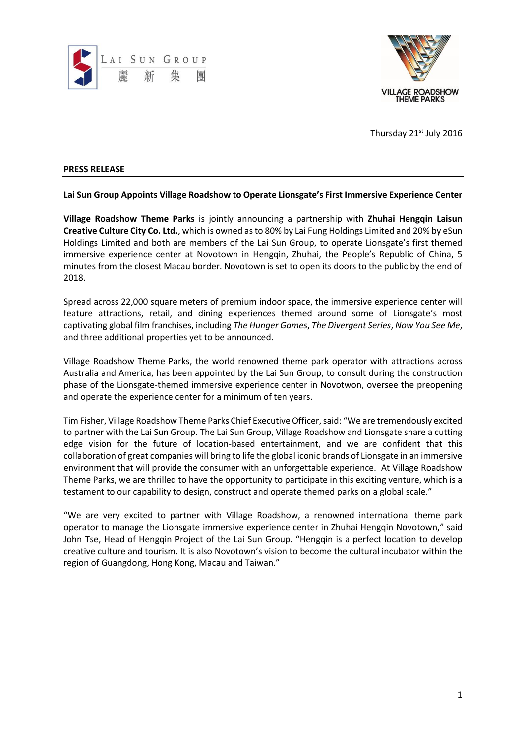



Thursday 21st July 2016

## **PRESS RELEASE**

**Lai Sun Group Appoints Village Roadshow to Operate Lionsgate's First Immersive Experience Center**

**Village Roadshow Theme Parks** is jointly announcing a partnership with **Zhuhai Hengqin Laisun Creative Culture City Co. Ltd.**, which is owned as to 80% by Lai Fung Holdings Limited and 20% by eSun Holdings Limited and both are members of the Lai Sun Group, to operate Lionsgate's first themed immersive experience center at Novotown in Hengqin, Zhuhai, the People's Republic of China, 5 minutes from the closest Macau border. Novotown is set to open its doors to the public by the end of 2018.

Spread across 22,000 square meters of premium indoor space, the immersive experience center will feature attractions, retail, and dining experiences themed around some of Lionsgate's most captivating global film franchises, including *The Hunger Games*, *The Divergent Series*, *Now You See Me*, and three additional properties yet to be announced.

Village Roadshow Theme Parks, the world renowned theme park operator with attractions across Australia and America, has been appointed by the Lai Sun Group, to consult during the construction phase of the Lionsgate-themed immersive experience center in Novotwon, oversee the preopening and operate the experience center for a minimum of ten years.

Tim Fisher, Village Roadshow Theme Parks Chief Executive Officer, said: "We are tremendously excited to partner with the Lai Sun Group. The Lai Sun Group, Village Roadshow and Lionsgate share a cutting edge vision for the future of location-based entertainment, and we are confident that this collaboration of great companies will bring to life the global iconic brands of Lionsgate in an immersive environment that will provide the consumer with an unforgettable experience. At Village Roadshow Theme Parks, we are thrilled to have the opportunity to participate in this exciting venture, which is a testament to our capability to design, construct and operate themed parks on a global scale."

"We are very excited to partner with Village Roadshow, a renowned international theme park operator to manage the Lionsgate immersive experience center in Zhuhai Hengqin Novotown," said John Tse, Head of Hengqin Project of the Lai Sun Group. "Hengqin is a perfect location to develop creative culture and tourism. It is also Novotown's vision to become the cultural incubator within the region of Guangdong, Hong Kong, Macau and Taiwan."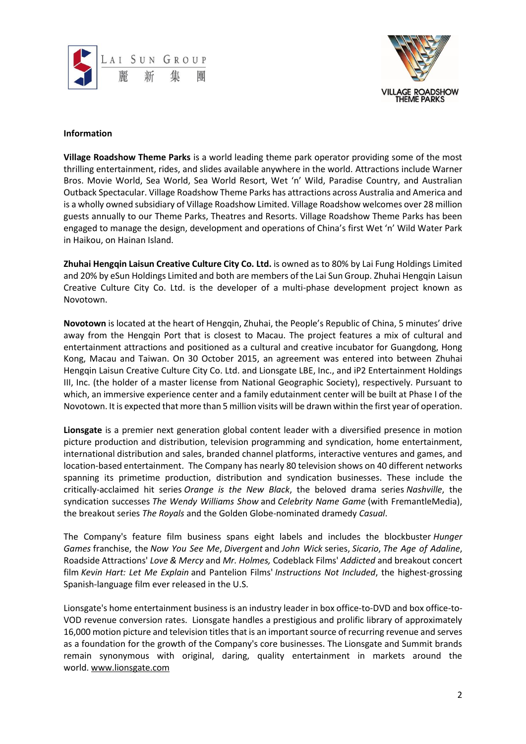



## **Information**

**Village Roadshow Theme Parks** is a world leading theme park operator providing some of the most thrilling entertainment, rides, and slides available anywhere in the world. Attractions include Warner Bros. Movie World, Sea World, Sea World Resort, Wet 'n' Wild, Paradise Country, and Australian Outback Spectacular. Village Roadshow Theme Parks has attractions across Australia and America and is a wholly owned subsidiary of Village Roadshow Limited. Village Roadshow welcomes over 28 million guests annually to our Theme Parks, Theatres and Resorts. Village Roadshow Theme Parks has been engaged to manage the design, development and operations of China's first Wet 'n' Wild Water Park in Haikou, on Hainan Island.

**Zhuhai Hengqin Laisun Creative Culture City Co. Ltd.** is owned as to 80% by Lai Fung Holdings Limited and 20% by eSun Holdings Limited and both are members of the Lai Sun Group. Zhuhai Hengqin Laisun Creative Culture City Co. Ltd. is the developer of a multi-phase development project known as Novotown.

**Novotown** is located at the heart of Hengqin, Zhuhai, the People's Republic of China, 5 minutes' drive away from the Hengqin Port that is closest to Macau. The project features a mix of cultural and entertainment attractions and positioned as a cultural and creative incubator for Guangdong, Hong Kong, Macau and Taiwan. On 30 October 2015, an agreement was entered into between Zhuhai Hengqin Laisun Creative Culture City Co. Ltd. and Lionsgate LBE, Inc., and iP2 Entertainment Holdings III, Inc. (the holder of a master license from National Geographic Society), respectively. Pursuant to which, an immersive experience center and a family edutainment center will be built at Phase I of the Novotown. It is expected that more than 5 million visits will be drawn within the first year of operation.

**Lionsgate** is a premier next generation global content leader with a diversified presence in motion picture production and distribution, television programming and syndication, home entertainment, international distribution and sales, branded channel platforms, interactive ventures and games, and location-based entertainment. The Company has nearly 80 television shows on 40 different networks spanning its primetime production, distribution and syndication businesses. These include the critically-acclaimed hit series *Orange is the New Black*, the beloved drama series *Nashville*, the syndication successes *The Wendy Williams Show* and *Celebrity Name Game* (with FremantleMedia), the breakout series *The Royals* and the Golden Globe-nominated dramedy *Casual*.

The Company's feature film business spans eight labels and includes the blockbuster *Hunger Games* franchise, the *Now You See Me*, *Divergent* and *John Wick* series, *Sicario*, *The Age of Adaline*, Roadside Attractions' *Love & Mercy* and *Mr. Holmes,* Codeblack Films' *Addicted* and breakout concert film *Kevin Hart: Let Me Explain* and Pantelion Films' *Instructions Not Included*, the highest-grossing Spanish-language film ever released in the U.S.

Lionsgate's home entertainment business is an industry leader in box office-to-DVD and box office-to-VOD revenue conversion rates. Lionsgate handles a prestigious and prolific library of approximately 16,000 motion picture and television titles that is an important source of recurring revenue and serves as a foundation for the growth of the Company's core businesses. The Lionsgate and Summit brands remain synonymous with original, daring, quality entertainment in markets around the world. [www.lionsgate.com](https://urldefense.proofpoint.com/v2/url?u=http-3A__www.lionsgate.com_&d=CwMF-g&c=OX64rUp1vryOkucMbUgD-phW8TordQEFLz3MxQJmMJM&r=6POcrsizpNMhesMSnmDuJdSYPfY7Rn0FSunZwXAHsMQ&m=kB7_EMFsVnYzFHtm65RLHD6pp1v4vXsXoZ58Rew965U&s=t7XBa9FG8PATkFL6_EU7LAt0iEeVVsC-ttJqREkxZ6Y&e=)